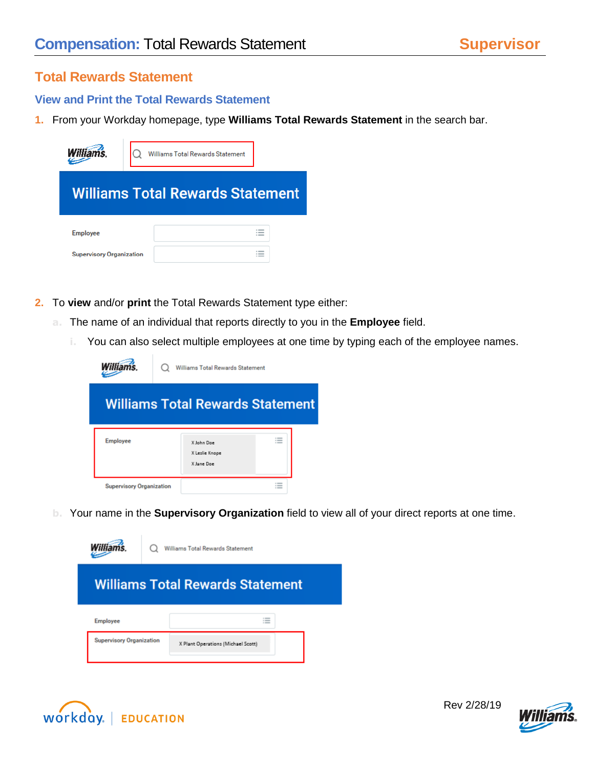## **Total Rewards Statement**

## **View and Print the Total Rewards Statement**

**1.** From your Workday homepage, type **Williams Total Rewards Statement** in the search bar.

| <b>Williams</b>                                    | <b>Williams Total Rewards Statement</b>         |
|----------------------------------------------------|-------------------------------------------------|
|                                                    | <b>Williams Total Rewards Statement</b>         |
| <b>Employee</b><br><b>Supervisory Organization</b> | --<br>$-$<br>$\sim$ 000 $-$<br>--<br>$-$<br>$-$ |

- **2.** To **view** and/or **print** the Total Rewards Statement type either:
	- **a.** The name of an individual that reports directly to you in the **Employee** field.
		- **i.** You can also select multiple employees at one time by typing each of the employee names.

| <b>Williams</b>                         | Williams Total Rewards Statement           |               |  |  |  |  |
|-----------------------------------------|--------------------------------------------|---------------|--|--|--|--|
| <b>Williams Total Rewards Statement</b> |                                            |               |  |  |  |  |
| <b>Employee</b>                         | X John Doe<br>X Leslie Knope<br>X Jane Doe | $-$<br>$\sim$ |  |  |  |  |
| <b>Supervisory Organization</b>         |                                            |               |  |  |  |  |

**b.** Your name in the **Supervisory Organization** field to view all of your direct reports at one time.







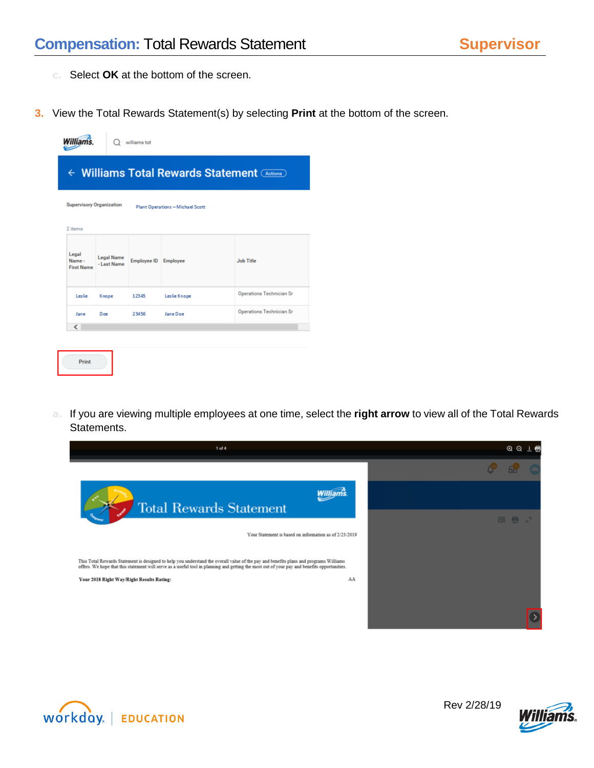- **c.** Select **OK** at the bottom of the screen.
- **3.** View the Total Rewards Statement(s) by selecting **Print** at the bottom of the screen.

|                                              |                                  | williams tot         |                                  |                          |  |  |  |
|----------------------------------------------|----------------------------------|----------------------|----------------------------------|--------------------------|--|--|--|
| ← Williams Total Rewards Statement (Actions) |                                  |                      |                                  |                          |  |  |  |
| <b>Supervisory Organization</b><br>2 items   |                                  |                      | Plant Operations - Michael Scott |                          |  |  |  |
| Legal<br>Name -<br><b>First Name</b>         | <b>Legal Name</b><br>- Last Name | Employee ID Employee |                                  | <b>Job Title</b>         |  |  |  |
| Leslie                                       | Knope                            | 12345                | Leslie Knope                     | Operations Technician Sr |  |  |  |
| Jane                                         | Doe                              | 23456                | Jane Doe                         | Operations Technician Sr |  |  |  |
| $\overline{\phantom{a}}$                     |                                  |                      |                                  |                          |  |  |  |
| Print                                        |                                  |                      |                                  |                          |  |  |  |

**a.** If you are viewing multiple employees at one time, select the **right arrow** to view all of the Total Rewards Statements.

| $1$ of $4$                                                                                                                                                                                                                                                                            | QQ  | - 6 |
|---------------------------------------------------------------------------------------------------------------------------------------------------------------------------------------------------------------------------------------------------------------------------------------|-----|-----|
|                                                                                                                                                                                                                                                                                       |     |     |
| <b>Total Rewards Statement</b>                                                                                                                                                                                                                                                        |     |     |
|                                                                                                                                                                                                                                                                                       | 图 帚 |     |
| Your Statement is based on information as of 2/23/2019                                                                                                                                                                                                                                |     |     |
| This Total Rewards Statement is designed to help you understand the overall value of the pay and benefits plans and programs Williams<br>offers. We hope that this statement will serve as a useful tool in planning and getting the most out of your pay and benefits opportunities. |     |     |
| AA<br>Your 2018 Right Way/Right Results Rating:                                                                                                                                                                                                                                       |     |     |
|                                                                                                                                                                                                                                                                                       |     |     |
|                                                                                                                                                                                                                                                                                       |     |     |